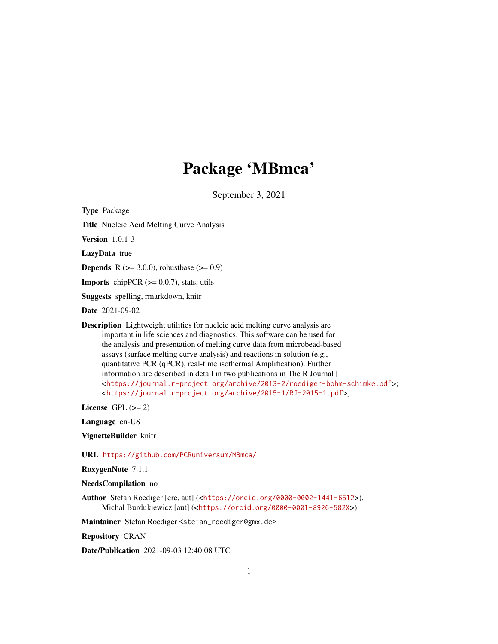## Package 'MBmca'

September 3, 2021

<span id="page-0-0"></span>Type Package

Title Nucleic Acid Melting Curve Analysis

Version 1.0.1-3

LazyData true

**Depends** R ( $>= 3.0.0$ ), robustbase ( $>= 0.9$ )

**Imports** chipPCR  $(>= 0.0.7)$ , stats, utils

Suggests spelling, rmarkdown, knitr

Date 2021-09-02

Description Lightweight utilities for nucleic acid melting curve analysis are important in life sciences and diagnostics. This software can be used for the analysis and presentation of melting curve data from microbead-based assays (surface melting curve analysis) and reactions in solution (e.g., quantitative PCR (qPCR), real-time isothermal Amplification). Further information are described in detail in two publications in The R Journal [ <<https://journal.r-project.org/archive/2013-2/roediger-bohm-schimke.pdf>>; <<https://journal.r-project.org/archive/2015-1/RJ-2015-1.pdf>>].

License GPL  $(>= 2)$ 

Language en-US

VignetteBuilder knitr

URL <https://github.com/PCRuniversum/MBmca/>

RoxygenNote 7.1.1

NeedsCompilation no

Author Stefan Roediger [cre, aut] (<<https://orcid.org/0000-0002-1441-6512>>), Michal Burdukiewicz [aut] (<<https://orcid.org/0000-0001-8926-582X>>)

Maintainer Stefan Roediger <stefan\_roediger@gmx.de>

Repository CRAN

Date/Publication 2021-09-03 12:40:08 UTC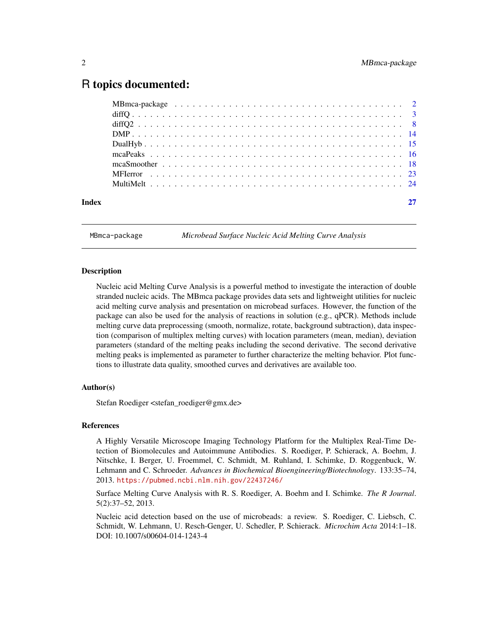### <span id="page-1-0"></span>R topics documented:

| Index |  |
|-------|--|
|       |  |

MBmca-package *Microbead Surface Nucleic Acid Melting Curve Analysis*

#### Description

Nucleic acid Melting Curve Analysis is a powerful method to investigate the interaction of double stranded nucleic acids. The MBmca package provides data sets and lightweight utilities for nucleic acid melting curve analysis and presentation on microbead surfaces. However, the function of the package can also be used for the analysis of reactions in solution (e.g., qPCR). Methods include melting curve data preprocessing (smooth, normalize, rotate, background subtraction), data inspection (comparison of multiplex melting curves) with location parameters (mean, median), deviation parameters (standard of the melting peaks including the second derivative. The second derivative melting peaks is implemented as parameter to further characterize the melting behavior. Plot functions to illustrate data quality, smoothed curves and derivatives are available too.

#### Author(s)

Stefan Roediger <stefan\_roediger@gmx.de>

#### References

A Highly Versatile Microscope Imaging Technology Platform for the Multiplex Real-Time Detection of Biomolecules and Autoimmune Antibodies. S. Roediger, P. Schierack, A. Boehm, J. Nitschke, I. Berger, U. Froemmel, C. Schmidt, M. Ruhland, I. Schimke, D. Roggenbuck, W. Lehmann and C. Schroeder. *Advances in Biochemical Bioengineering/Biotechnology*. 133:35–74, 2013. <https://pubmed.ncbi.nlm.nih.gov/22437246/>

Surface Melting Curve Analysis with R. S. Roediger, A. Boehm and I. Schimke. *The R Journal*. 5(2):37–52, 2013.

Nucleic acid detection based on the use of microbeads: a review. S. Roediger, C. Liebsch, C. Schmidt, W. Lehmann, U. Resch-Genger, U. Schedler, P. Schierack. *Microchim Acta* 2014:1–18. DOI: 10.1007/s00604-014-1243-4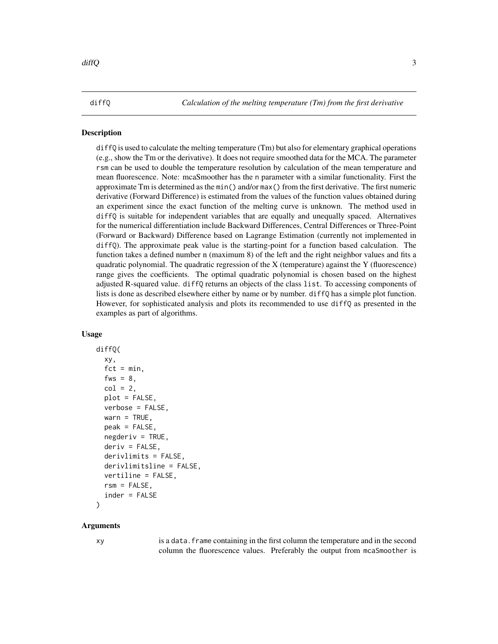<span id="page-2-1"></span><span id="page-2-0"></span>diffQ *Calculation of the melting temperature (Tm) from the first derivative*

#### **Description**

diffQ is used to calculate the melting temperature (Tm) but also for elementary graphical operations (e.g., show the Tm or the derivative). It does not require smoothed data for the MCA. The parameter rsm can be used to double the temperature resolution by calculation of the mean temperature and mean fluorescence. Note: mcaSmoother has the n parameter with a similar functionality. First the approximate Tm is determined as the min() and/or max() from the first derivative. The first numeric derivative (Forward Difference) is estimated from the values of the function values obtained during an experiment since the exact function of the melting curve is unknown. The method used in diffQ is suitable for independent variables that are equally and unequally spaced. Alternatives for the numerical differentiation include Backward Differences, Central Differences or Three-Point (Forward or Backward) Difference based on Lagrange Estimation (currently not implemented in diffQ). The approximate peak value is the starting-point for a function based calculation. The function takes a defined number n (maximum 8) of the left and the right neighbor values and fits a quadratic polynomial. The quadratic regression of the  $X$  (temperature) against the  $Y$  (fluorescence) range gives the coefficients. The optimal quadratic polynomial is chosen based on the highest adjusted R-squared value. diffQ returns an objects of the class list. To accessing components of lists is done as described elsewhere either by name or by number. diffQ has a simple plot function. However, for sophisticated analysis and plots its recommended to use diffQ as presented in the examples as part of algorithms.

#### Usage

```
diffQ(
  xy,
  fct = min,
  fws = 8,
  col = 2,
  plot = FALSE,
  verbose = FALSE,
  wan = TRUE,peak = FALSE,
  negderiv = TRUE,deriv = FALSE,
  derivlimits = FALSE,
  derivlimitsline = FALSE,
  vertiline = FALSE,
  rsm = FALSE.
  inder = FALSE
)
```
#### Arguments

xy is a data.frame containing in the first column the temperature and in the second column the fluorescence values. Preferably the output from mcaSmoother is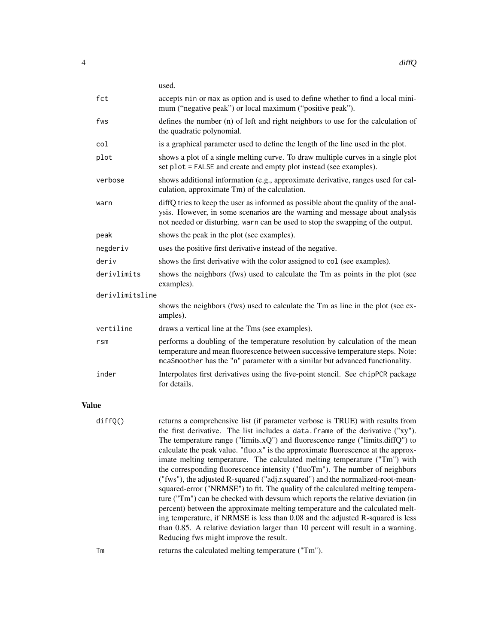|                 | used.                                                                                                                                                                                                                                                |
|-----------------|------------------------------------------------------------------------------------------------------------------------------------------------------------------------------------------------------------------------------------------------------|
| fct             | accepts min or max as option and is used to define whether to find a local mini-<br>mum ("negative peak") or local maximum ("positive peak").                                                                                                        |
| fws             | defines the number (n) of left and right neighbors to use for the calculation of<br>the quadratic polynomial.                                                                                                                                        |
| col             | is a graphical parameter used to define the length of the line used in the plot.                                                                                                                                                                     |
| plot            | shows a plot of a single melting curve. To draw multiple curves in a single plot<br>set plot = FALSE and create and empty plot instead (see examples).                                                                                               |
| verbose         | shows additional information (e.g., approximate derivative, ranges used for cal-<br>culation, approximate Tm) of the calculation.                                                                                                                    |
| warn            | diffQ tries to keep the user as informed as possible about the quality of the anal-<br>ysis. However, in some scenarios are the warning and message about analysis<br>not needed or disturbing. warn can be used to stop the swapping of the output. |
| peak            | shows the peak in the plot (see examples).                                                                                                                                                                                                           |
| negderiv        | uses the positive first derivative instead of the negative.                                                                                                                                                                                          |
| deriv           | shows the first derivative with the color assigned to col (see examples).                                                                                                                                                                            |
| derivlimits     | shows the neighbors (fws) used to calculate the Tm as points in the plot (see<br>examples).                                                                                                                                                          |
| derivlimitsline |                                                                                                                                                                                                                                                      |
|                 | shows the neighbors (fws) used to calculate the Tm as line in the plot (see ex-<br>amples).                                                                                                                                                          |
| vertiline       | draws a vertical line at the Tms (see examples).                                                                                                                                                                                                     |
| r <sub>sm</sub> | performs a doubling of the temperature resolution by calculation of the mean<br>temperature and mean fluorescence between successive temperature steps. Note:<br>mcaSmoother has the "n" parameter with a similar but advanced functionality.        |
| inder           | Interpolates first derivatives using the five-point stencil. See chipPCR package<br>for details.                                                                                                                                                     |

### Value

| diffQ() | returns a comprehensive list (if parameter verbose is TRUE) with results from<br>the first derivative. The list includes a data. frame of the derivative ("xy").<br>The temperature range ("limits.xQ") and fluorescence range ("limits.diffQ") to<br>calculate the peak value. "fluo.x" is the approximate fluorescence at the approx-<br>imate melting temperature. The calculated melting temperature ("Tm") with<br>the corresponding fluorescence intensity ("fluoTm"). The number of neighbors<br>("fws"), the adjusted R-squared ("adj.r.squared") and the normalized-root-mean-<br>squared-error ("NRMSE") to fit. The quality of the calculated melting tempera-<br>ture ("Tm") can be checked with devsum which reports the relative deviation (in<br>percent) between the approximate melting temperature and the calculated melt-<br>ing temperature, if NRMSE is less than 0.08 and the adjusted R-squared is less<br>than 0.85. A relative deviation larger than 10 percent will result in a warning.<br>Reducing fws might improve the result. |
|---------|---------------------------------------------------------------------------------------------------------------------------------------------------------------------------------------------------------------------------------------------------------------------------------------------------------------------------------------------------------------------------------------------------------------------------------------------------------------------------------------------------------------------------------------------------------------------------------------------------------------------------------------------------------------------------------------------------------------------------------------------------------------------------------------------------------------------------------------------------------------------------------------------------------------------------------------------------------------------------------------------------------------------------------------------------------------|
| Тm      | returns the calculated melting temperature ("Tm").                                                                                                                                                                                                                                                                                                                                                                                                                                                                                                                                                                                                                                                                                                                                                                                                                                                                                                                                                                                                            |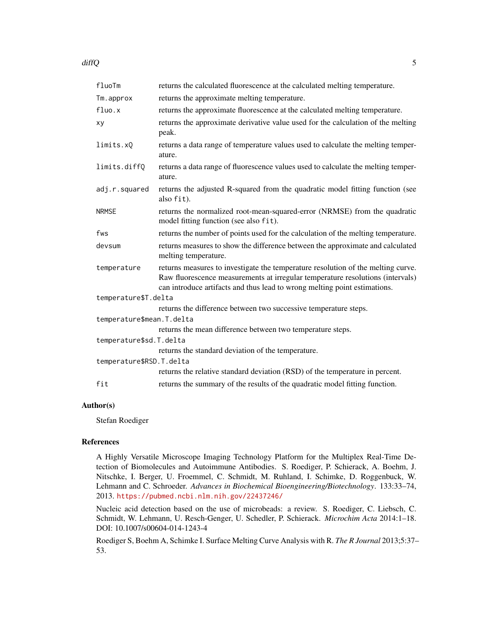diffQ 5

| fluoTm                                                                         | returns the calculated fluorescence at the calculated melting temperature.                                                                                                                                                                      |  |
|--------------------------------------------------------------------------------|-------------------------------------------------------------------------------------------------------------------------------------------------------------------------------------------------------------------------------------------------|--|
| Tm.approx                                                                      | returns the approximate melting temperature.                                                                                                                                                                                                    |  |
| fluo.x                                                                         | returns the approximate fluorescence at the calculated melting temperature.                                                                                                                                                                     |  |
| xy                                                                             | returns the approximate derivative value used for the calculation of the melting<br>peak.                                                                                                                                                       |  |
| limits.xQ                                                                      | returns a data range of temperature values used to calculate the melting temper-<br>ature.                                                                                                                                                      |  |
| limits.diffQ                                                                   | returns a data range of fluorescence values used to calculate the melting temper-<br>ature.                                                                                                                                                     |  |
| adj.r.squared                                                                  | returns the adjusted R-squared from the quadratic model fitting function (see<br>also fit).                                                                                                                                                     |  |
| <b>NRMSE</b>                                                                   | returns the normalized root-mean-squared-error (NRMSE) from the quadratic<br>model fitting function (see also fit).                                                                                                                             |  |
| fws                                                                            | returns the number of points used for the calculation of the melting temperature.                                                                                                                                                               |  |
| devsum                                                                         | returns measures to show the difference between the approximate and calculated<br>melting temperature.                                                                                                                                          |  |
| temperature                                                                    | returns measures to investigate the temperature resolution of the melting curve.<br>Raw fluorescence measurements at irregular temperature resolutions (intervals)<br>can introduce artifacts and thus lead to wrong melting point estimations. |  |
| temperature\$T.delta                                                           |                                                                                                                                                                                                                                                 |  |
|                                                                                | returns the difference between two successive temperature steps.                                                                                                                                                                                |  |
| temperature\$mean. T.delta                                                     |                                                                                                                                                                                                                                                 |  |
|                                                                                | returns the mean difference between two temperature steps.                                                                                                                                                                                      |  |
| temperature\$sd.T.delta                                                        |                                                                                                                                                                                                                                                 |  |
| returns the standard deviation of the temperature.<br>temperature\$RSD.T.delta |                                                                                                                                                                                                                                                 |  |
|                                                                                | returns the relative standard deviation (RSD) of the temperature in percent.                                                                                                                                                                    |  |
| fit                                                                            | returns the summary of the results of the quadratic model fitting function.                                                                                                                                                                     |  |

#### Author(s)

Stefan Roediger

#### References

A Highly Versatile Microscope Imaging Technology Platform for the Multiplex Real-Time Detection of Biomolecules and Autoimmune Antibodies. S. Roediger, P. Schierack, A. Boehm, J. Nitschke, I. Berger, U. Froemmel, C. Schmidt, M. Ruhland, I. Schimke, D. Roggenbuck, W. Lehmann and C. Schroeder. *Advances in Biochemical Bioengineering/Biotechnology*. 133:33–74, 2013. <https://pubmed.ncbi.nlm.nih.gov/22437246/>

Nucleic acid detection based on the use of microbeads: a review. S. Roediger, C. Liebsch, C. Schmidt, W. Lehmann, U. Resch-Genger, U. Schedler, P. Schierack. *Microchim Acta* 2014:1–18. DOI: 10.1007/s00604-014-1243-4

Roediger S, Boehm A, Schimke I. Surface Melting Curve Analysis with R. *The R Journal* 2013;5:37– 53.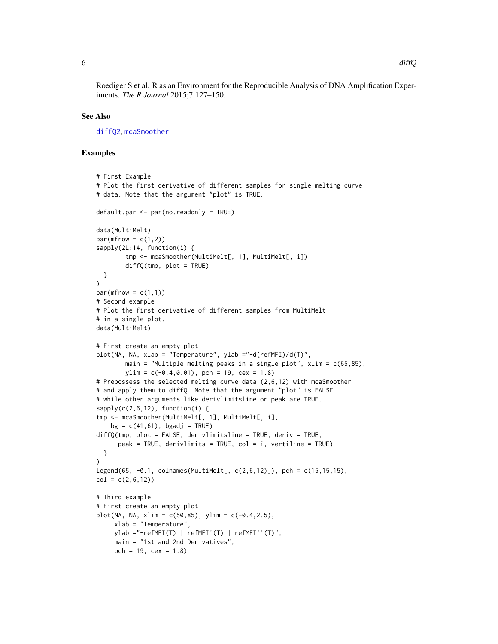<span id="page-5-0"></span>Roediger S et al. R as an Environment for the Reproducible Analysis of DNA Amplification Experiments. *The R Journal* 2015;7:127–150.

#### See Also

[diffQ2](#page-7-1), [mcaSmoother](#page-17-1)

#### Examples

```
# First Example
# Plot the first derivative of different samples for single melting curve
# data. Note that the argument "plot" is TRUE.
default.par <- par(no.readonly = TRUE)
data(MultiMelt)
par(mfrow = c(1,2))sapply(2L:14, function(i) {
        tmp <- mcaSmoother(MultiMelt[, 1], MultiMelt[, i])
        diffQ(tmp, plot = TRUE)
  }
)
par(mfrow = c(1,1))# Second example
# Plot the first derivative of different samples from MultiMelt
# in a single plot.
data(MultiMelt)
# First create an empty plot
plot(NA, NA, xlab = "Temperature", ylab ="-d(refMFI)/d(T)",
       main = "Multiple melting peaks in a single plot", xlim = c(65,85),
        ylim = c(-0.4, 0.01), pch = 19, cex = 1.8)
# Prepossess the selected melting curve data (2,6,12) with mcaSmoother
# and apply them to diffQ. Note that the argument "plot" is FALSE
# while other arguments like derivlimitsline or peak are TRUE.
sapply(c(2,6,12), function(i)tmp <- mcaSmoother(MultiMelt[, 1], MultiMelt[, i],
    bg = c(41,61), bg = TRUE)
diffQ(tmp, plot = FALSE, derivlimitsline = TRUE, deriv = TRUE,
      peak = TRUE, derivlimits = TRUE, col = i, vertiline = TRUE)
  }
\lambdalegend(65, -0.1, colnames(MultiMelt[, c(2,6,12)]), pch = c(15,15,15),
col = c(2, 6, 12)# Third example
# First create an empty plot
plot(NA, NA, xlim = c(50, 85), ylim = c(-0.4, 2.5),
     xlab = "Temperature",
     ylab ="-refMFI(T) | refMFI'(T) | refMFI''(T)",
    main = "1st and 2nd Derivatives",
    pch = 19, cex = 1.8)
```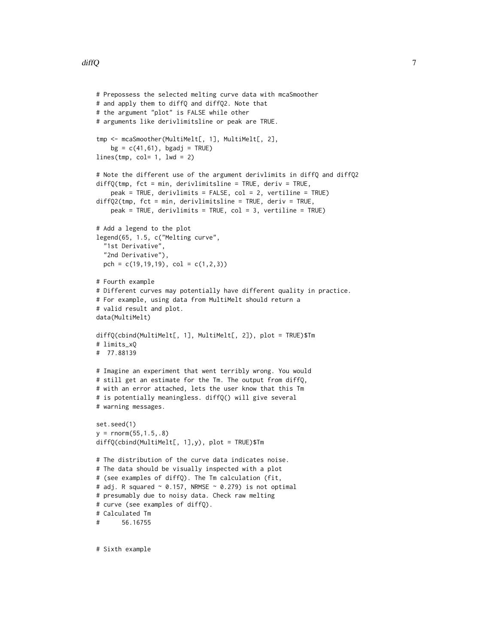```
# Prepossess the selected melting curve data with mcaSmoother
# and apply them to diffQ and diffQ2. Note that
# the argument "plot" is FALSE while other
# arguments like derivlimitsline or peak are TRUE.
tmp <- mcaSmoother(MultiMelt[, 1], MultiMelt[, 2],
    bg = c(41, 61), bgadj = TRUE)
lines(tmp, col= 1, lwd = 2)# Note the different use of the argument derivlimits in diffQ and diffQ2
diffQ(tmp, fct = min, derivlimitsline = TRUE, deriv = TRUE,peak = TRUE, derivlimits = FALSE, col = 2, vertiline = TRUE)
diffQ2(tmp, fct = min, derivlimitsline = TRUE, deriv = TRUE,
    peak = TRUE, derivlimits = TRUE, col = 3, vertiline = TRUE)
# Add a legend to the plot
legend(65, 1.5, c("Melting curve",
  "1st Derivative",
  "2nd Derivative"),
  pch = c(19, 19, 19), col = c(1, 2, 3))
# Fourth example
# Different curves may potentially have different quality in practice.
# For example, using data from MultiMelt should return a
# valid result and plot.
data(MultiMelt)
diffQ(cbind(MultiMelt[, 1], MultiMelt[, 2]), plot = TRUE)$Tm
# limits_xQ
# 77.88139
# Imagine an experiment that went terribly wrong. You would
# still get an estimate for the Tm. The output from diffQ,
# with an error attached, lets the user know that this Tm
# is potentially meaningless. diffQ() will give several
# warning messages.
set.seed(1)
y = \text{rnorm}(55, 1.5, .8)diffQ(cbind(MultiMelt[, 1],y), plot = TRUE)$Tm
# The distribution of the curve data indicates noise.
# The data should be visually inspected with a plot
# (see examples of diffQ). The Tm calculation (fit,
# adj. R squared \sim 0.157, NRMSE \sim 0.279) is not optimal
# presumably due to noisy data. Check raw melting
# curve (see examples of diffQ).
# Calculated Tm
# 56.16755
```
# Sixth example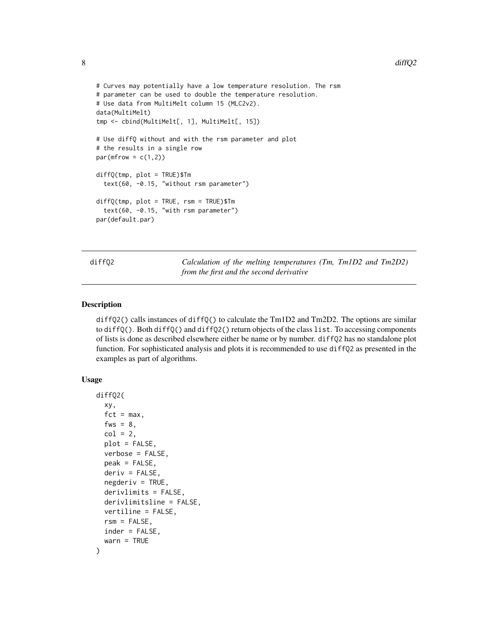```
# Curves may potentially have a low temperature resolution. The rsm
# parameter can be used to double the temperature resolution.
# Use data from MultiMelt column 15 (MLC2v2).
data(MultiMelt)
tmp <- cbind(MultiMelt[, 1], MultiMelt[, 15])
# Use diffQ without and with the rsm parameter and plot
# the results in a single row
par(mfrow = c(1,2))diffQ(tmp, plot = TRUE)$Tm
 text(60, -0.15, "without rsm parameter")
diffQ(tmp, plot = TRUE, rsm = TRUE)$Tm
  text(60, -0.15, "with rsm parameter")
par(default.par)
```
<span id="page-7-1"></span>diffQ2 *Calculation of the melting temperatures (Tm, Tm1D2 and Tm2D2) from the first and the second derivative*

#### Description

diffQ2() calls instances of diffQ() to calculate the Tm1D2 and Tm2D2. The options are similar to diffQ(). Both diffQ() and diffQ2() return objects of the class list. To accessing components of lists is done as described elsewhere either be name or by number. diffQ2 has no standalone plot function. For sophisticated analysis and plots it is recommended to use diffQ2 as presented in the examples as part of algorithms.

#### Usage

```
diffQ2(
  xy,
  fct = max,
  fws = 8,
  col = 2,
  plot = FALSE,verbose = FALSE,
  peak = FALSE,deriv = FALSE,negderiv = TRUE,derivlimits = FALSE,
  derivlimitsline = FALSE,
  vertiline = FALSE,
  rsm = FALSE,
  inder = FALSE,
  warn = TRUE
)
```
<span id="page-7-0"></span>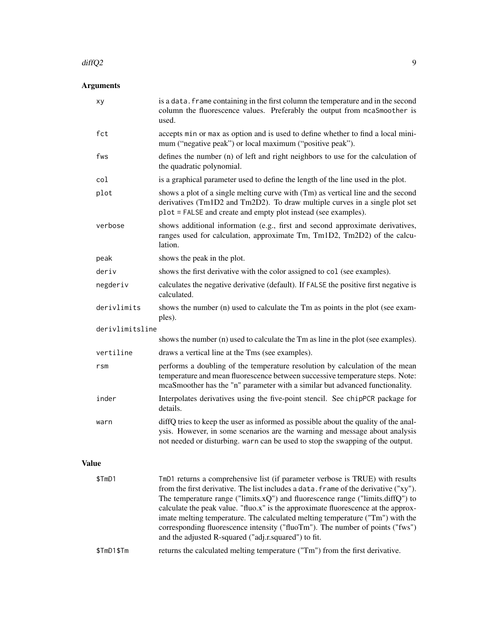#### $\frac{dftQ2}{}$  9

### Arguments

|              | xy              | is a data. frame containing in the first column the temperature and in the second<br>column the fluorescence values. Preferably the output from mcaSmoother is<br>used.                                                                                                                                                                                                                                                                                                                                                                                                        |
|--------------|-----------------|--------------------------------------------------------------------------------------------------------------------------------------------------------------------------------------------------------------------------------------------------------------------------------------------------------------------------------------------------------------------------------------------------------------------------------------------------------------------------------------------------------------------------------------------------------------------------------|
|              | fct             | accepts min or max as option and is used to define whether to find a local mini-<br>mum ("negative peak") or local maximum ("positive peak").                                                                                                                                                                                                                                                                                                                                                                                                                                  |
|              | fws             | defines the number (n) of left and right neighbors to use for the calculation of<br>the quadratic polynomial.                                                                                                                                                                                                                                                                                                                                                                                                                                                                  |
|              | col             | is a graphical parameter used to define the length of the line used in the plot.                                                                                                                                                                                                                                                                                                                                                                                                                                                                                               |
|              | plot            | shows a plot of a single melting curve with (Tm) as vertical line and the second<br>derivatives (Tm1D2 and Tm2D2). To draw multiple curves in a single plot set<br>plot = FALSE and create and empty plot instead (see examples).                                                                                                                                                                                                                                                                                                                                              |
|              | verbose         | shows additional information (e.g., first and second approximate derivatives,<br>ranges used for calculation, approximate Tm, Tm1D2, Tm2D2) of the calcu-<br>lation.                                                                                                                                                                                                                                                                                                                                                                                                           |
|              | peak            | shows the peak in the plot.                                                                                                                                                                                                                                                                                                                                                                                                                                                                                                                                                    |
|              | deriv           | shows the first derivative with the color assigned to col (see examples).                                                                                                                                                                                                                                                                                                                                                                                                                                                                                                      |
|              | negderiv        | calculates the negative derivative (default). If FALSE the positive first negative is<br>calculated.                                                                                                                                                                                                                                                                                                                                                                                                                                                                           |
|              | derivlimits     | shows the number (n) used to calculate the Tm as points in the plot (see exam-<br>ples).                                                                                                                                                                                                                                                                                                                                                                                                                                                                                       |
|              | derivlimitsline |                                                                                                                                                                                                                                                                                                                                                                                                                                                                                                                                                                                |
|              |                 | shows the number (n) used to calculate the Tm as line in the plot (see examples).                                                                                                                                                                                                                                                                                                                                                                                                                                                                                              |
|              | vertiline       | draws a vertical line at the Tms (see examples).                                                                                                                                                                                                                                                                                                                                                                                                                                                                                                                               |
|              | r <sub>sm</sub> | performs a doubling of the temperature resolution by calculation of the mean<br>temperature and mean fluorescence between successive temperature steps. Note:<br>mcaSmoother has the "n" parameter with a similar but advanced functionality.                                                                                                                                                                                                                                                                                                                                  |
|              | inder           | Interpolates derivatives using the five-point stencil. See chipPCR package for<br>details.                                                                                                                                                                                                                                                                                                                                                                                                                                                                                     |
|              | warn            | diffQ tries to keep the user as informed as possible about the quality of the anal-<br>ysis. However, in some scenarios are the warning and message about analysis<br>not needed or disturbing. warn can be used to stop the swapping of the output.                                                                                                                                                                                                                                                                                                                           |
| <b>Value</b> |                 |                                                                                                                                                                                                                                                                                                                                                                                                                                                                                                                                                                                |
|              | \$TmD1          | TmD1 returns a comprehensive list (if parameter verbose is TRUE) with results<br>from the first derivative. The list includes a data. frame of the derivative ("xy").<br>The temperature range ("limits.x $Q$ ") and fluorescence range ("limits.diff $Q$ ") to<br>calculate the peak value. "fluo.x" is the approximate fluorescence at the approx-<br>imate melting temperature. The calculated melting temperature ("Tm") with the<br>corresponding fluorescence intensity ("fluoTm"). The number of points ("fws")<br>and the adjusted R-squared ("adj.r.squared") to fit. |
|              | \$TmD1\$Tm      | returns the calculated melting temperature ("Tm") from the first derivative.                                                                                                                                                                                                                                                                                                                                                                                                                                                                                                   |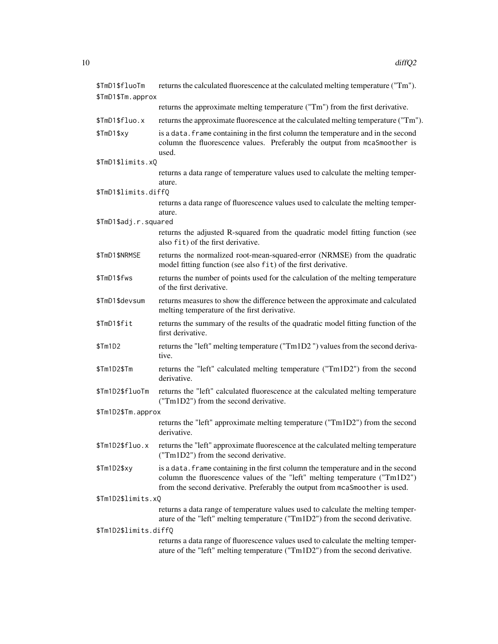| \$TmD1\$fluoTm        | returns the calculated fluorescence at the calculated melting temperature ("Tm").                                                                                                                                                              |
|-----------------------|------------------------------------------------------------------------------------------------------------------------------------------------------------------------------------------------------------------------------------------------|
| \$TmD1\$Tm.approx     |                                                                                                                                                                                                                                                |
|                       | returns the approximate melting temperature ("Tm") from the first derivative.                                                                                                                                                                  |
| \$TmD1\$fluo.x        | returns the approximate fluorescence at the calculated melting temperature ("Tm").                                                                                                                                                             |
| \$TmD1\$xy            | is a data. frame containing in the first column the temperature and in the second<br>column the fluorescence values. Preferably the output from mcaSmoother is<br>used.                                                                        |
| \$TmD1\$limits.xQ     |                                                                                                                                                                                                                                                |
|                       | returns a data range of temperature values used to calculate the melting temper-<br>ature.                                                                                                                                                     |
| \$TmD1\$limits.diffQ  | returns a data range of fluorescence values used to calculate the melting temper-<br>ature.                                                                                                                                                    |
| \$TmD1\$adj.r.squared |                                                                                                                                                                                                                                                |
|                       | returns the adjusted R-squared from the quadratic model fitting function (see<br>also fit) of the first derivative.                                                                                                                            |
| \$TmD1\$NRMSE         | returns the normalized root-mean-squared-error (NRMSE) from the quadratic<br>model fitting function (see also fit) of the first derivative.                                                                                                    |
| \$TmD1\$fws           | returns the number of points used for the calculation of the melting temperature<br>of the first derivative.                                                                                                                                   |
| \$TmD1\$devsum        | returns measures to show the difference between the approximate and calculated<br>melting temperature of the first derivative.                                                                                                                 |
| \$TmD1\$fit           | returns the summary of the results of the quadratic model fitting function of the<br>first derivative.                                                                                                                                         |
| \$Tm1D2               | returns the "left" melting temperature ("Tm1D2") values from the second deriva-<br>tive.                                                                                                                                                       |
| \$Tm1D2\$Tm           | returns the "left" calculated melting temperature ("Tm1D2") from the second<br>derivative.                                                                                                                                                     |
| \$Tm1D2\$fluoTm       | returns the "left" calculated fluorescence at the calculated melting temperature<br>("Tm1D2") from the second derivative.                                                                                                                      |
| \$Tm1D2\$Tm.approx    |                                                                                                                                                                                                                                                |
|                       | returns the "left" approximate melting temperature ("Tm1D2") from the second<br>derivative.                                                                                                                                                    |
| \$Tm1D2\$fluo.x       | returns the "left" approximate fluorescence at the calculated melting temperature<br>("Tm1D2") from the second derivative.                                                                                                                     |
| \$Tm1D2\$xy           | is a data. frame containing in the first column the temperature and in the second<br>column the fluorescence values of the "left" melting temperature ("Tm1D2")<br>from the second derivative. Preferably the output from mcaSmoother is used. |
| \$Tm1D2\$limits.xQ    |                                                                                                                                                                                                                                                |
|                       | returns a data range of temperature values used to calculate the melting temper-<br>ature of the "left" melting temperature ("Tm1D2") from the second derivative.                                                                              |
| \$Tm1D2\$limits.diffQ |                                                                                                                                                                                                                                                |
|                       | returns a data range of fluorescence values used to calculate the melting temper-<br>ature of the "left" melting temperature ("Tm1D2") from the second derivative.                                                                             |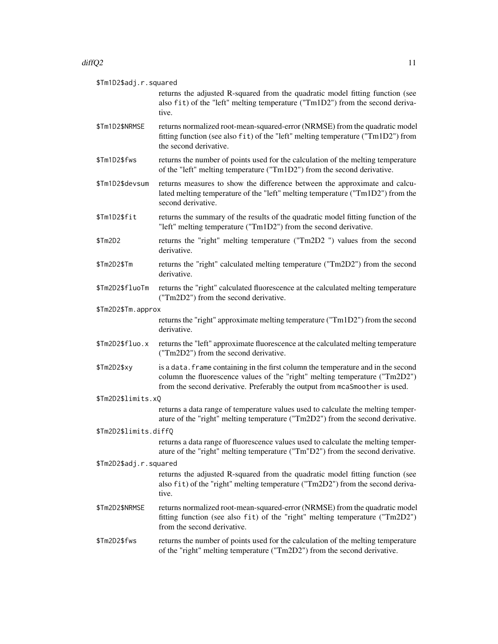$\text{diffQ2}$  11 \$Tm1D2\$adj.r.squared returns the adjusted R-squared from the quadratic model fitting function (see also fit) of the "left" melting temperature ("Tm1D2") from the second derivative. \$Tm1D2\$NRMSE returns normalized root-mean-squared-error (NRMSE) from the quadratic model fitting function (see also fit) of the "left" melting temperature ("Tm1D2") from the second derivative. \$Tm1D2\$fws returns the number of points used for the calculation of the melting temperature of the "left" melting temperature ("Tm1D2") from the second derivative. \$Tm1D2\$devsum returns measures to show the difference between the approximate and calculated melting temperature of the "left" melting temperature ("Tm1D2") from the second derivative. \$Tm1D2\$fit returns the summary of the results of the quadratic model fitting function of the "left" melting temperature ("Tm1D2") from the second derivative. \$Tm2D2 returns the "right" melting temperature ("Tm2D2 ") values from the second derivative. \$Tm2D2\$Tm returns the "right" calculated melting temperature ("Tm2D2") from the second derivative. \$Tm2D2\$fluoTm returns the "right" calculated fluorescence at the calculated melting temperature ("Tm2D2") from the second derivative. \$Tm2D2\$Tm.approx returns the "right" approximate melting temperature ("Tm1D2") from the second derivative. \$Tm2D2\$fluo.x returns the "left" approximate fluorescence at the calculated melting temperature ("Tm2D2") from the second derivative. \$Tm2D2\$xy is a data.frame containing in the first column the temperature and in the second column the fluorescence values of the "right" melting temperature ("Tm2D2") from the second derivative. Preferably the output from mcaSmoother is used. \$Tm2D2\$limits.xQ returns a data range of temperature values used to calculate the melting temperature of the "right" melting temperature ("Tm2D2") from the second derivative. \$Tm2D2\$limits.diffQ returns a data range of fluorescence values used to calculate the melting temperature of the "right" melting temperature ("Tm"D2") from the second derivative. \$Tm2D2\$adj.r.squared returns the adjusted R-squared from the quadratic model fitting function (see also fit) of the "right" melting temperature ("Tm2D2") from the second derivative. \$Tm2D2\$NRMSE returns normalized root-mean-squared-error (NRMSE) from the quadratic model fitting function (see also fit) of the "right" melting temperature ("Tm2D2") from the second derivative.

\$Tm2D2\$fws returns the number of points used for the calculation of the melting temperature of the "right" melting temperature ("Tm2D2") from the second derivative.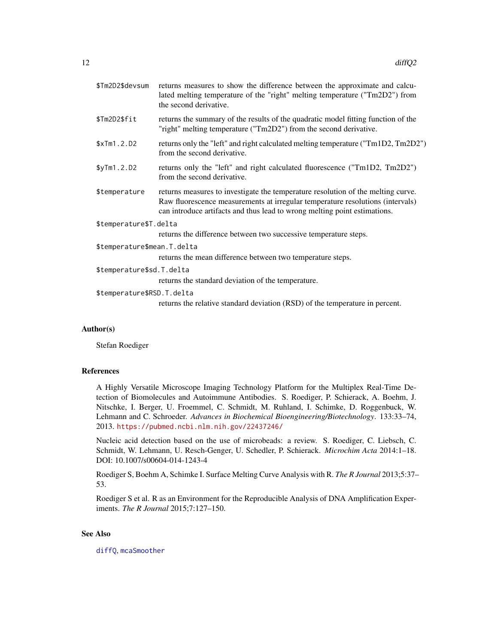<span id="page-11-0"></span>

| \$Tm2D2\$devsum             | returns measures to show the difference between the approximate and calcu-<br>lated melting temperature of the "right" melting temperature ("Tm2D2") from<br>the second derivative.                                                             |  |
|-----------------------------|-------------------------------------------------------------------------------------------------------------------------------------------------------------------------------------------------------------------------------------------------|--|
| \$Tm2D2\$fit                | returns the summary of the results of the quadratic model fitting function of the<br>"right" melting temperature ("Tm2D2") from the second derivative.                                                                                          |  |
| \$xTm1.2.D2                 | returns only the "left" and right calculated melting temperature ("Tm1D2, Tm2D2")<br>from the second derivative.                                                                                                                                |  |
| \$yTm1.2.D2                 | returns only the "left" and right calculated fluorescence ("Tm1D2, Tm2D2")<br>from the second derivative.                                                                                                                                       |  |
| \$temperature               | returns measures to investigate the temperature resolution of the melting curve.<br>Raw fluorescence measurements at irregular temperature resolutions (intervals)<br>can introduce artifacts and thus lead to wrong melting point estimations. |  |
| \$temperature\$T.delta      |                                                                                                                                                                                                                                                 |  |
|                             | returns the difference between two successive temperature steps.                                                                                                                                                                                |  |
| \$temperature\$mean.T.delta |                                                                                                                                                                                                                                                 |  |
|                             | returns the mean difference between two temperature steps.                                                                                                                                                                                      |  |
| \$temperature\$sd.T.delta   |                                                                                                                                                                                                                                                 |  |
|                             | returns the standard deviation of the temperature.                                                                                                                                                                                              |  |
| \$temperature\$RSD.T.delta  |                                                                                                                                                                                                                                                 |  |
|                             | returns the relative standard deviation (RSD) of the temperature in percent.                                                                                                                                                                    |  |

#### Author(s)

Stefan Roediger

#### References

A Highly Versatile Microscope Imaging Technology Platform for the Multiplex Real-Time Detection of Biomolecules and Autoimmune Antibodies. S. Roediger, P. Schierack, A. Boehm, J. Nitschke, I. Berger, U. Froemmel, C. Schmidt, M. Ruhland, I. Schimke, D. Roggenbuck, W. Lehmann and C. Schroeder. *Advances in Biochemical Bioengineering/Biotechnology*. 133:33–74, 2013. <https://pubmed.ncbi.nlm.nih.gov/22437246/>

Nucleic acid detection based on the use of microbeads: a review. S. Roediger, C. Liebsch, C. Schmidt, W. Lehmann, U. Resch-Genger, U. Schedler, P. Schierack. *Microchim Acta* 2014:1–18. DOI: 10.1007/s00604-014-1243-4

Roediger S, Boehm A, Schimke I. Surface Melting Curve Analysis with R. *The R Journal* 2013;5:37– 53.

Roediger S et al. R as an Environment for the Reproducible Analysis of DNA Amplification Experiments. *The R Journal* 2015;7:127–150.

#### See Also

[diffQ](#page-2-1), [mcaSmoother](#page-17-1)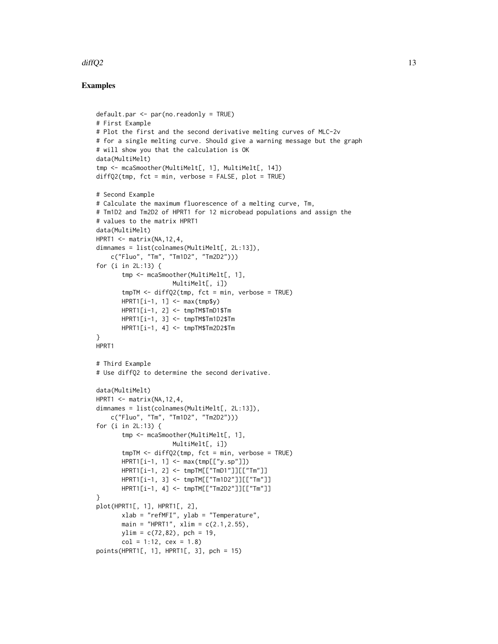#### $\text{diffQ2}$  13

#### Examples

```
default.par <- par(no.readonly = TRUE)
# First Example
# Plot the first and the second derivative melting curves of MLC-2v
# for a single melting curve. Should give a warning message but the graph
# will show you that the calculation is OK
data(MultiMelt)
tmp <- mcaSmoother(MultiMelt[, 1], MultiMelt[, 14])
diffQ2(tmp, fct = min, verbose = FALSE, plot = TRUE)# Second Example
# Calculate the maximum fluorescence of a melting curve, Tm,
# Tm1D2 and Tm2D2 of HPRT1 for 12 microbead populations and assign the
# values to the matrix HPRT1
data(MultiMelt)
HPRT1 <- matrix(NA, 12, 4,
dimnames = list(colnames(MultiMelt[, 2L:13]),
    c("Fluo", "Tm", "Tm1D2", "Tm2D2")))
for (i in 2L:13) {
       tmp <- mcaSmoother(MultiMelt[, 1],
                     MultiMelt[, i])
       tmpTM <- diffQ2(tmp, fct = min, verbose = TRUE)
       HPRT1[i-1, 1] <- max(tmp$y)
       HPRT1[i-1, 2] <- tmpTM$TmD1$Tm
       HPRT1[i-1, 3] <- tmpTM$Tm1D2$Tm
       HPRT1[i-1, 4] <- tmpTM$Tm2D2$Tm
}
HPRT1
# Third Example
# Use diffQ2 to determine the second derivative.
data(MultiMelt)
HPRT1 <- matrix(NA,12,4,
dimnames = list(colnames(MultiMelt[, 2L:13]),
    c("Fluo", "Tm", "Tm1D2", "Tm2D2")))
for (i in 2L:13) {
       tmp <- mcaSmoother(MultiMelt[, 1],
                     MultiMelt[, i])
       tmpTM < - diffQ2(tmp, fct = min, verbose = TRUE)HPRT1[i-1, 1] <- max(tmp[["y.sp"]])
       HPRT1[i-1, 2] <- tmpTM[["TmD1"]][["Tm"]]
       HPRT1[i-1, 3] <- tmpTM[["Tm1D2"]][["Tm"]]
       HPRT1[i-1, 4] <- tmpTM[["Tm2D2"]][["Tm"]]
}
plot(HPRT1[, 1], HPRT1[, 2],
       xlab = "refMFI", ylab = "Temperature",
       main = "HPRT1", xlim = c(2.1, 2.55),
       ylim = c(72,82), pch = 19,
       col = 1:12, cex = 1.8points(HPRT1[, 1], HPRT1[, 3], pch = 15)
```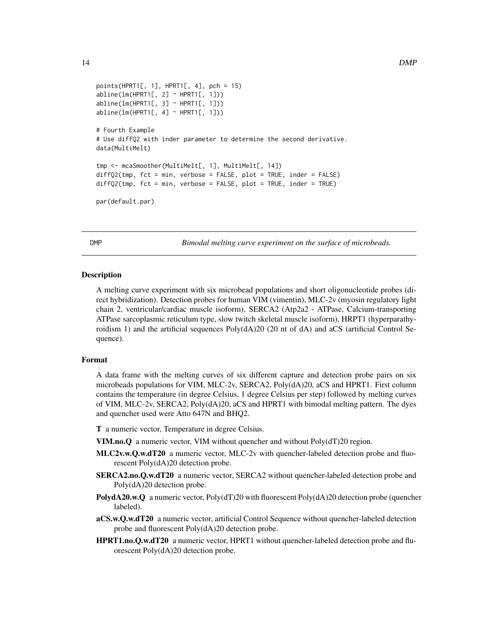```
points(HPRT1[, 1], HPRT1[, 4], pch = 15)
abline(lm(HPRT1[, 2] \sim HPRT1[, 1])abline(lm(HPRT1[, 3] ~\sim HPRT1[, 1])abline(lm(HPRT1[, 4] \sim HPRT1[, 1])# Fourth Example
# Use diffQ2 with inder parameter to determine the second derivative.
data(MultiMelt)
tmp <- mcaSmoother(MultiMelt[, 1], MultiMelt[, 14])
diffQ2(tmp, fct = min, verbose = FALSE, plot = TRUE, inder = FALSE)
diffQ2(tmp, fct = min, verbose = FALSE, plot = TRUE, inder = TRUE)par(default.par)
```
<span id="page-13-1"></span>DMP *Bimodal melting curve experiment on the surface of microbeads.*

#### **Description**

A melting curve experiment with six microbead populations and short oligonucleotide probes (direct hybridization). Detection probes for human VIM (vimentin), MLC-2v (myosin regulatory light chain 2, ventricular/cardiac muscle isoform), SERCA2 (Atp2a2 - ATPase, Calcium-transporting ATPase sarcoplasmic reticulum type, slow twitch skeletal muscle isoform), HRPT1 (hyperparathyroidism 1) and the artificial sequences Poly(dA)20 (20 nt of dA) and aCS (artificial Control Sequence).

#### Format

A data frame with the melting curves of six different capture and detection probe pairs on six microbeads populations for VIM, MLC-2v, SERCA2, Poly(dA)20, aCS and HPRT1. First column contains the temperature (in degree Celsius, 1 degree Celsius per step) followed by melting curves of VIM, MLC-2v, SERCA2, Poly(dA)20, aCS and HPRT1 with bimodal melting pattern. The dyes and quencher used were Atto 647N and BHQ2.

T a numeric vector, Temperature in degree Celsius.

VIM.no.Q a numeric vector, VIM without quencher and without Poly(dT)20 region.

- MLC2v.w.Q.w.dT20 a numeric vector, MLC-2v with quencher-labeled detection probe and fluorescent Poly(dA)20 detection probe.
- SERCA2.no.Q.w.dT20 a numeric vector, SERCA2 without quencher-labeled detection probe and Poly(dA)20 detection probe.
- **PolydA20.w.Q** a numeric vector, Poly(dT)20 with fluorescent Poly(dA)20 detection probe (quencher labeled).
- aCS.w.Q.w.dT20 a numeric vector, artificial Control Sequence without quencher-labeled detection probe and fluorescent Poly(dA)20 detection probe.
- HPRT1.no.Q.w.dT20 a numeric vector, HPRT1 without quencher-labeled detection probe and fluorescent Poly(dA)20 detection probe.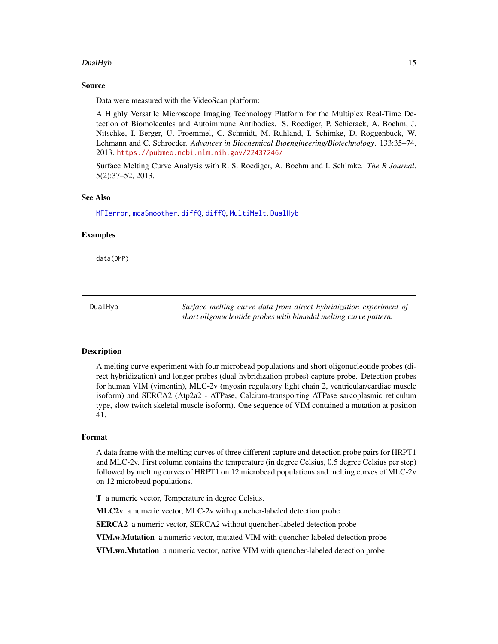#### <span id="page-14-0"></span>DualHyb 15

#### Source

Data were measured with the VideoScan platform:

A Highly Versatile Microscope Imaging Technology Platform for the Multiplex Real-Time Detection of Biomolecules and Autoimmune Antibodies. S. Roediger, P. Schierack, A. Boehm, J. Nitschke, I. Berger, U. Froemmel, C. Schmidt, M. Ruhland, I. Schimke, D. Roggenbuck, W. Lehmann and C. Schroeder. *Advances in Biochemical Bioengineering/Biotechnology*. 133:35–74, 2013. <https://pubmed.ncbi.nlm.nih.gov/22437246/>

Surface Melting Curve Analysis with R. S. Roediger, A. Boehm and I. Schimke. *The R Journal*. 5(2):37–52, 2013.

#### See Also

[MFIerror](#page-22-1), [mcaSmoother](#page-17-1), [diffQ](#page-2-1), [diffQ](#page-2-1), [MultiMelt](#page-23-1), [DualHyb](#page-14-1)

#### Examples

data(DMP)

<span id="page-14-1"></span>DualHyb *Surface melting curve data from direct hybridization experiment of short oligonucleotide probes with bimodal melting curve pattern.*

#### Description

A melting curve experiment with four microbead populations and short oligonucleotide probes (direct hybridization) and longer probes (dual-hybridization probes) capture probe. Detection probes for human VIM (vimentin), MLC-2v (myosin regulatory light chain 2, ventricular/cardiac muscle isoform) and SERCA2 (Atp2a2 - ATPase, Calcium-transporting ATPase sarcoplasmic reticulum type, slow twitch skeletal muscle isoform). One sequence of VIM contained a mutation at position 41.

#### Format

A data frame with the melting curves of three different capture and detection probe pairs for HRPT1 and MLC-2v. First column contains the temperature (in degree Celsius, 0.5 degree Celsius per step) followed by melting curves of HRPT1 on 12 microbead populations and melting curves of MLC-2v on 12 microbead populations.

T a numeric vector, Temperature in degree Celsius.

MLC2v a numeric vector, MLC-2v with quencher-labeled detection probe

SERCA2 a numeric vector, SERCA2 without quencher-labeled detection probe

VIM.w.Mutation a numeric vector, mutated VIM with quencher-labeled detection probe

VIM.wo.Mutation a numeric vector, native VIM with quencher-labeled detection probe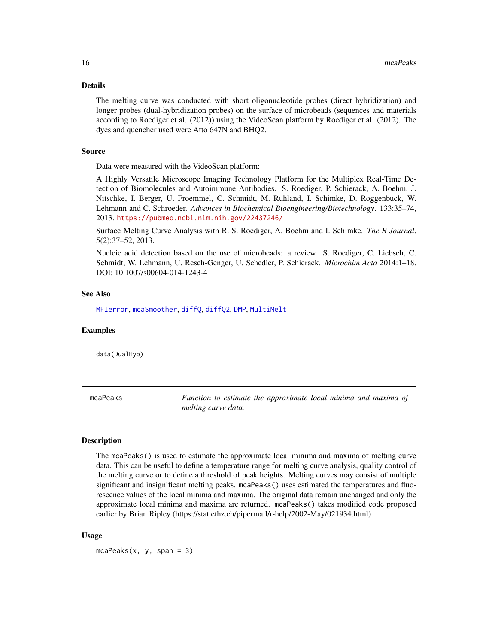#### <span id="page-15-0"></span>Details

The melting curve was conducted with short oligonucleotide probes (direct hybridization) and longer probes (dual-hybridization probes) on the surface of microbeads (sequences and materials according to Roediger et al. (2012)) using the VideoScan platform by Roediger et al. (2012). The dyes and quencher used were Atto 647N and BHQ2.

#### Source

Data were measured with the VideoScan platform:

A Highly Versatile Microscope Imaging Technology Platform for the Multiplex Real-Time Detection of Biomolecules and Autoimmune Antibodies. S. Roediger, P. Schierack, A. Boehm, J. Nitschke, I. Berger, U. Froemmel, C. Schmidt, M. Ruhland, I. Schimke, D. Roggenbuck, W. Lehmann and C. Schroeder. *Advances in Biochemical Bioengineering/Biotechnology*. 133:35–74, 2013. <https://pubmed.ncbi.nlm.nih.gov/22437246/>

Surface Melting Curve Analysis with R. S. Roediger, A. Boehm and I. Schimke. *The R Journal*. 5(2):37–52, 2013.

Nucleic acid detection based on the use of microbeads: a review. S. Roediger, C. Liebsch, C. Schmidt, W. Lehmann, U. Resch-Genger, U. Schedler, P. Schierack. *Microchim Acta* 2014:1–18. DOI: 10.1007/s00604-014-1243-4

#### See Also

[MFIerror](#page-22-1), [mcaSmoother](#page-17-1), [diffQ](#page-2-1), [diffQ2](#page-7-1), [DMP](#page-13-1), [MultiMelt](#page-23-1)

#### Examples

data(DualHyb)

mcaPeaks *Function to estimate the approximate local minima and maxima of melting curve data.*

#### Description

The mcaPeaks() is used to estimate the approximate local minima and maxima of melting curve data. This can be useful to define a temperature range for melting curve analysis, quality control of the melting curve or to define a threshold of peak heights. Melting curves may consist of multiple significant and insignificant melting peaks. mcaPeaks() uses estimated the temperatures and fluorescence values of the local minima and maxima. The original data remain unchanged and only the approximate local minima and maxima are returned. mcaPeaks() takes modified code proposed earlier by Brian Ripley (https://stat.ethz.ch/pipermail/r-help/2002-May/021934.html).

#### Usage

 $mcaPeaks(x, y, span = 3)$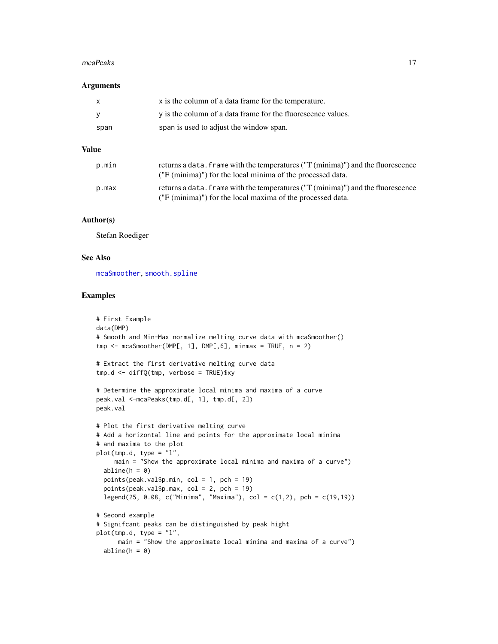#### <span id="page-16-0"></span>mcaPeaks 17

#### **Arguments**

| X.   | x is the column of a data frame for the temperature.         |
|------|--------------------------------------------------------------|
| - V  | y is the column of a data frame for the fluorescence values. |
| span | span is used to adjust the window span.                      |

#### Value

| p.min | returns a data. Frame with the temperatures ("T (minima)") and the fluorescence<br>("F (minima)") for the local minima of the processed data. |
|-------|-----------------------------------------------------------------------------------------------------------------------------------------------|
| p.max | returns a data. Frame with the temperatures ("T (minima)") and the fluorescence<br>("F (minima)") for the local maxima of the processed data. |

#### Author(s)

Stefan Roediger

#### See Also

[mcaSmoother](#page-17-1), [smooth.spline](#page-0-0)

#### Examples

```
# First Example
data(DMP)
# Smooth and Min-Max normalize melting curve data with mcaSmoother()
tmp < - mcaSmoother(DMP[, 1], DMP[, 6], minmax = TRUE, n = 2)
# Extract the first derivative melting curve data
tmp.d <- diffQ(tmp, verbose = TRUE)$xy
# Determine the approximate local minima and maxima of a curve
peak.val <-mcaPeaks(tmp.d[, 1], tmp.d[, 2])
peak.val
# Plot the first derivative melting curve
# Add a horizontal line and points for the approximate local minima
# and maxima to the plot
plot(tmp.d, type = "l",main = "Show the approximate local minima and maxima of a curve")
  abline(h = 0)points(peak.val$p.min, col = 1, pch = 19)
  points(peak.val$p.max, col = 2, pch = 19)
  legend(25, 0.08, c("Minima", "Maxima"), col = c(1,2), pch = c(19,19))
# Second example
# Signifcant peaks can be distinguished by peak hight
plot(tmp.d, type = "l",main = "Show the approximate local minima and maxima of a curve")
  abline(h = 0)
```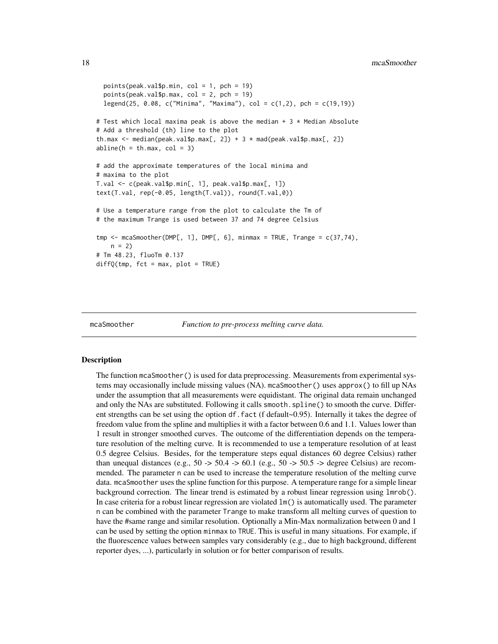```
points(peak.val$p.min, col = 1, pch = 19)
 points(peak.val$p.max, col = 2, pch = 19)legend(25, 0.08, c("Minima", "Maxima"), col = c(1,2), pch = c(19,19))
# Test which local maxima peak is above the median + 3 * Median Absolute
# Add a threshold (th) line to the plot
th.max \leq median(peak.val$p.max[, 2]) + 3 * mad(peak.val$p.max[, 2])
abline(h = th.max, col = 3)# add the approximate temperatures of the local minima and
# maxima to the plot
T.val <- c(peak.val$p.min[, 1], peak.val$p.max[, 1])
text(T.val, rep(-0.05, length(T.val)), round(T.val,0))
# Use a temperature range from the plot to calculate the Tm of
# the maximum Trange is used between 37 and 74 degree Celsius
tmp \leq mcaSmoother(DMPI, 1], DMP[, 6], minmax = TRUE, Trange = c(37,74),n = 2# Tm 48.23, fluoTm 0.137
diffQ(tmp, fct = max, plot = TRUE)
```
<span id="page-17-1"></span>

```
mcaSmoother Function to pre-process melting curve data.
```
#### **Description**

The function mcaSmoother() is used for data preprocessing. Measurements from experimental systems may occasionally include missing values (NA). mcaSmoother() uses approx() to fill up NAs under the assumption that all measurements were equidistant. The original data remain unchanged and only the NAs are substituted. Following it calls smooth.spline() to smooth the curve. Different strengths can be set using the option df.fact (f default~0.95). Internally it takes the degree of freedom value from the spline and multiplies it with a factor between 0.6 and 1.1. Values lower than 1 result in stronger smoothed curves. The outcome of the differentiation depends on the temperature resolution of the melting curve. It is recommended to use a temperature resolution of at least 0.5 degree Celsius. Besides, for the temperature steps equal distances 60 degree Celsius) rather than unequal distances (e.g.,  $50 \rightarrow 50.4 \rightarrow 60.1$  (e.g.,  $50 \rightarrow 50.5 \rightarrow$  degree Celsius) are recommended. The parameter n can be used to increase the temperature resolution of the melting curve data. mcaSmoother uses the spline function for this purpose. A temperature range for a simple linear background correction. The linear trend is estimated by a robust linear regression using lmrob(). In case criteria for a robust linear regression are violated lm() is automatically used. The parameter n can be combined with the parameter Trange to make transform all melting curves of question to have the #same range and similar resolution. Optionally a Min-Max normalization between 0 and 1 can be used by setting the option minmax to TRUE. This is useful in many situations. For example, if the fluorescence values between samples vary considerably (e.g., due to high background, different reporter dyes, ...), particularly in solution or for better comparison of results.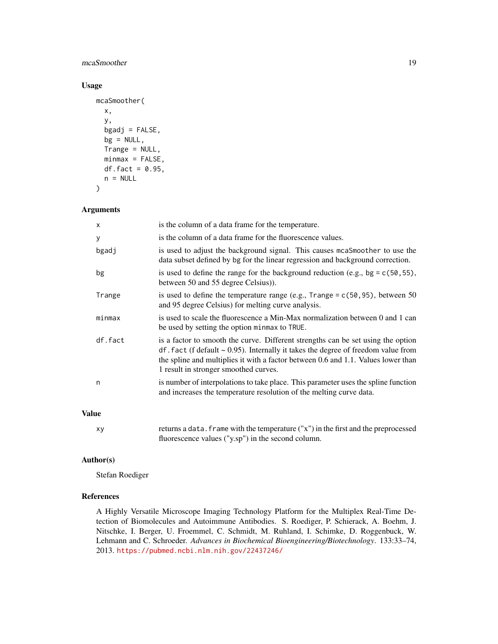#### mcaSmoother 19

#### Usage

```
mcaSmoother(
 x,
 y,
 bgadj = FALSE,
 bg = NULL,Trange = NULL,
 minmax = FALSE,df.fact = 0.95,
 n = NULL)
```
#### Arguments

| X       | is the column of a data frame for the temperature.                                                                                                                                                                                                                                                     |
|---------|--------------------------------------------------------------------------------------------------------------------------------------------------------------------------------------------------------------------------------------------------------------------------------------------------------|
| У       | is the column of a data frame for the fluorescence values.                                                                                                                                                                                                                                             |
| bgadj   | is used to adjust the background signal. This causes meas moother to use the<br>data subset defined by bg for the linear regression and background correction.                                                                                                                                         |
| bg      | is used to define the range for the background reduction (e.g., bg = $c(50, 55)$ ),<br>between 50 and 55 degree Celsius).                                                                                                                                                                              |
| Trange  | is used to define the temperature range (e.g., $Trange = c(50, 95)$ , between 50<br>and 95 degree Celsius) for melting curve analysis.                                                                                                                                                                 |
| minmax  | is used to scale the fluorescence a Min-Max normalization between 0 and 1 can<br>be used by setting the option minmax to TRUE.                                                                                                                                                                         |
| df.fact | is a factor to smooth the curve. Different strengths can be set using the option<br>$df$ . fact (f default ~ 0.95). Internally it takes the degree of freedom value from<br>the spline and multiplies it with a factor between 0.6 and 1.1. Values lower than<br>1 result in stronger smoothed curves. |
| n       | is number of interpolations to take place. This parameter uses the spline function<br>and increases the temperature resolution of the melting curve data.                                                                                                                                              |
|         |                                                                                                                                                                                                                                                                                                        |

#### Value

xy returns a data.frame with the temperature ("x") in the first and the preprocessed fluorescence values ("y.sp") in the second column.

#### Author(s)

Stefan Roediger

#### References

A Highly Versatile Microscope Imaging Technology Platform for the Multiplex Real-Time Detection of Biomolecules and Autoimmune Antibodies. S. Roediger, P. Schierack, A. Boehm, J. Nitschke, I. Berger, U. Froemmel, C. Schmidt, M. Ruhland, I. Schimke, D. Roggenbuck, W. Lehmann and C. Schroeder. *Advances in Biochemical Bioengineering/Biotechnology*. 133:33–74, 2013. <https://pubmed.ncbi.nlm.nih.gov/22437246/>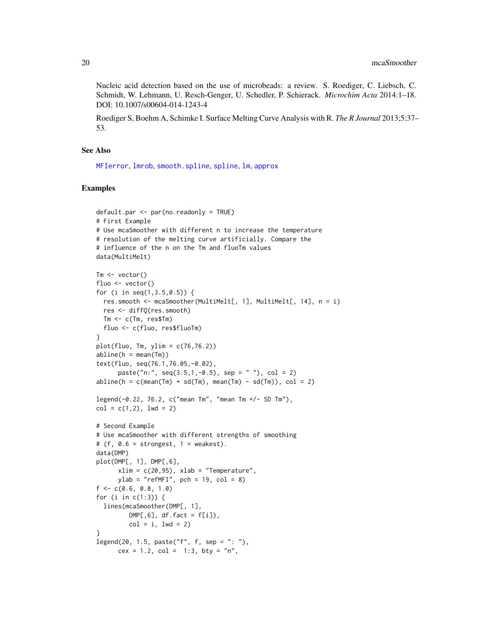Nucleic acid detection based on the use of microbeads: a review. S. Roediger, C. Liebsch, C. Schmidt, W. Lehmann, U. Resch-Genger, U. Schedler, P. Schierack. *Microchim Acta* 2014:1–18. DOI: 10.1007/s00604-014-1243-4

Roediger S, Boehm A, Schimke I. Surface Melting Curve Analysis with R. *The R Journal* 2013;5:37– 53.

#### See Also

[MFIerror](#page-22-1), [lmrob](#page-0-0), [smooth.spline](#page-0-0), [spline](#page-0-0), [lm](#page-0-0), [approx](#page-0-0)

#### Examples

```
default.par <- par(no.readonly = TRUE)
# First Example
# Use mcaSmoother with different n to increase the temperature
# resolution of the melting curve artificially. Compare the
# influence of the n on the Tm and fluoTm values
data(MultiMelt)
Tm \leftarrow vector()fluo <- vector()
for (i in seq(1,3.5,0.5)) {
 res.smooth <- mcaSmoother(MultiMelt[, 1], MultiMelt[, 14], n = i)
  res <- diffQ(res.smooth)
 Tm <- c(Tm, res$Tm)
  fluo <- c(fluo, res$fluoTm)
}
plot(fluo, Tm, ylim = c(76, 76.2))abline(h = mean(Tm))text(fluo, seq(76.1,76.05,-0.02),
      paste("n:", seq(3.5,1,-0.5), sep = ""), col = 2)abline(h = c(mean(Tm) + sd(Tm), mean(Tm) - sd(Tm)), col = 2)legend(-0.22, 76.2, c("mean Tm", "mean Tm +/- SD Tm"),
col = c(1, 2), lwd = 2)# Second Example
# Use mcaSmoother with different strengths of smoothing
# (f, 0.6 = strongest, 1 = weakest).
data(DMP)
plot(DMP[, 1], DMP[,6],
      xlim = c(20, 95), xlab = "Temperature",ylab = "refMFI", pch = 19, col = 8)f \leq -c(0.6, 0.8, 1.0)for (i in c(1:3)) {
  lines(mcaSmoother(DMP[, 1],
         DMP[, 6], df.fact = f[i]),col = i, 1wd = 2}
legend(20, 1.5, paste("f", f, sep = ": ");cex = 1.2, col = 1:3, bty = "n",
```
<span id="page-19-0"></span>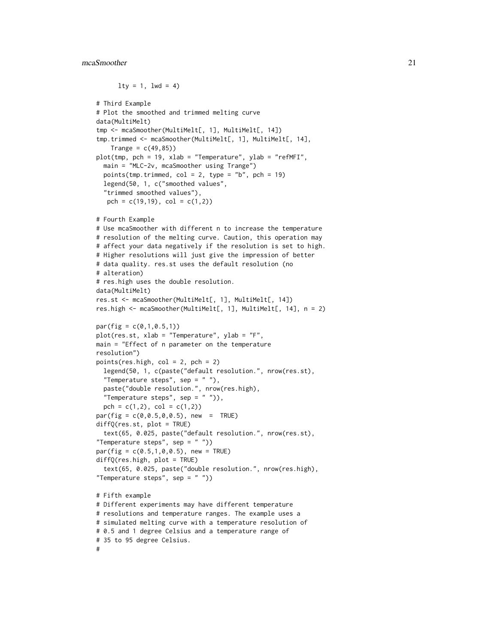#### mcaSmoother 21

```
lty = 1, lwd = 4)# Third Example
# Plot the smoothed and trimmed melting curve
data(MultiMelt)
tmp <- mcaSmoother(MultiMelt[, 1], MultiMelt[, 14])
tmp.trimmed <- mcaSmoother(MultiMelt[, 1], MultiMelt[, 14],
    Trange = c(49, 85)plot(tmp, pch = 19, xlab = "Temperature", ylab = "refMFI",
 main = "MLC-2v, mcaSmoother using Trange")
 points(tmp.trimmed, col = 2, type = "b", pch = 19)
 legend(50, 1, c("smoothed values",
  "trimmed smoothed values"),
  pch = c(19,19), col = c(1,2))
# Fourth Example
# Use mcaSmoother with different n to increase the temperature
# resolution of the melting curve. Caution, this operation may
# affect your data negatively if the resolution is set to high.
# Higher resolutions will just give the impression of better
# data quality. res.st uses the default resolution (no
# alteration)
# res.high uses the double resolution.
data(MultiMelt)
res.st <- mcaSmoother(MultiMelt[, 1], MultiMelt[, 14])
res.high <- mcaSmoother(MultiMelt[, 1], MultiMelt[, 14], n = 2)
par(fig = c(0,1,0.5,1))plot(res.st, xlab = "Temperature", ylab = "F",
main = "Effect of n parameter on the temperature
resolution")
points(res.high, col = 2, pch = 2)
 legend(50, 1, c(paste("default resolution.", nrow(res.st),
 "Temperature steps", sep = ""),
 paste("double resolution.", nrow(res.high),
  "Temperature steps", sep = ""),
 pch = c(1,2), col = c(1,2)par(fig = c(0, 0.5, 0, 0.5), new = TRUE)diffQ(res.st, plot = TRUE)
  text(65, 0.025, paste("default resolution.", nrow(res.st),
"Temperature steps", sep = " "))
par(fig = c(0.5, 1, 0, 0.5), new = TRUE)
diffQ(res.high, plot = TRUE)
 text(65, 0.025, paste("double resolution.", nrow(res.high),
"Temperature steps", sep = "")# Fifth example
# Different experiments may have different temperature
# resolutions and temperature ranges. The example uses a
```
# simulated melting curve with a temperature resolution of

```
# 0.5 and 1 degree Celsius and a temperature range of
```

```
# 35 to 95 degree Celsius.
#
```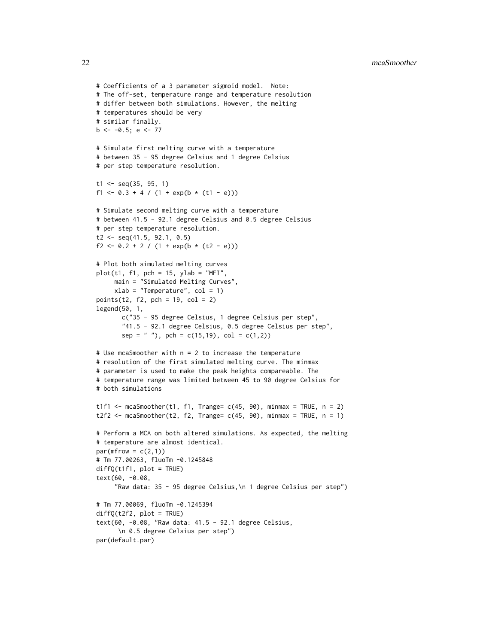22 mcaSmoother measured by the state of the state of the state of the state of the state of the state of the state of the state of the state of the state of the state of the state of the state of the state of the state of

```
# Coefficients of a 3 parameter sigmoid model. Note:
# The off-set, temperature range and temperature resolution
# differ between both simulations. However, the melting
# temperatures should be very
# similar finally.
b \le -0.5; e \le -77# Simulate first melting curve with a temperature
# between 35 - 95 degree Celsius and 1 degree Celsius
# per step temperature resolution.
t1 \leq -\text{seq}(35, 95, 1)f1 <- 0.3 + 4 / (1 + \exp(b * (t1 - e)))# Simulate second melting curve with a temperature
# between 41.5 - 92.1 degree Celsius and 0.5 degree Celsius
# per step temperature resolution.
t2 \leq -\text{seq}(41.5, 92.1, 0.5)f2 <- 0.2 + 2 / (1 + \exp(b * (t2 - e)))# Plot both simulated melting curves
plot(t1, f1, pch = 15, ylab = "MFI",main = "Simulated Melting Curves",
     xlab = "Temperature", col = 1)points(t2, f2, pch = 19, col = 2)
legend(50, 1,
       c("35 - 95 degree Celsius, 1 degree Celsius per step",
       "41.5 - 92.1 degree Celsius, 0.5 degree Celsius per step",
       sep = " '), pch = c(15,19), col = c(1,2)# Use mcaSmoother with n = 2 to increase the temperature
# resolution of the first simulated melting curve. The minmax
# parameter is used to make the peak heights compareable. The
# temperature range was limited between 45 to 90 degree Celsius for
# both simulations
t1f1 <- mcaSmoother(t1, f1, Trange= c(45, 90), minmax = TRUE, n = 2)
t2f2 <- mcaSmoother(t2, f2, Trange= c(45, 90), minmax = TRUE, n = 1)
# Perform a MCA on both altered simulations. As expected, the melting
# temperature are almost identical.
par(mfrow = c(2,1))# Tm 77.00263, fluoTm -0.1245848
diffQ(t1f1, plot = TRUE)
text(60, -0.08,
     "Raw data: 35 - 95 degree Celsius,\n 1 degree Celsius per step")
# Tm 77.00069, fluoTm -0.1245394
diffQ(t2f2, plot = TRUE)text(60, -0.08, "Raw data: 41.5 - 92.1 degree Celsius,
      \n 0.5 degree Celsius per step")
par(default.par)
```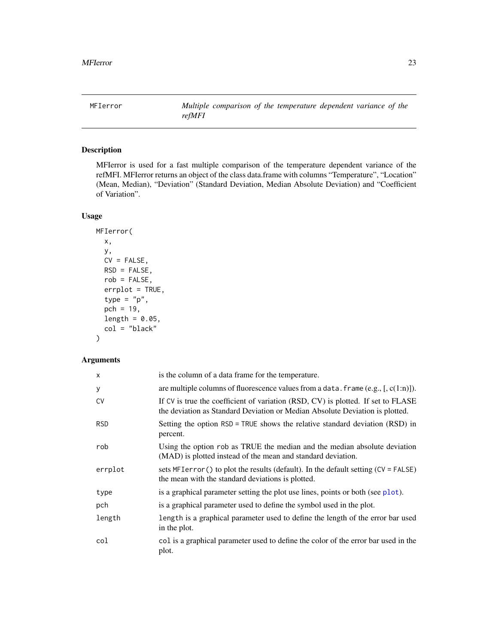<span id="page-22-1"></span><span id="page-22-0"></span>MFIerror *Multiple comparison of the temperature dependent variance of the refMFI*

#### Description

MFIerror is used for a fast multiple comparison of the temperature dependent variance of the refMFI. MFIerror returns an object of the class data.frame with columns "Temperature", "Location" (Mean, Median), "Deviation" (Standard Deviation, Median Absolute Deviation) and "Coefficient of Variation".

#### Usage

```
MFIerror(
  x,
  y,
  CV = FALSE,RSD = FALSE,rob = FALSE,
  errplot = TRUE,
  type = "p",pch = 19,
  length = 0.05,
  col = "black"
\mathcal{L}
```
#### Arguments

| $\mathsf{x}$ | is the column of a data frame for the temperature.                                                                                                               |
|--------------|------------------------------------------------------------------------------------------------------------------------------------------------------------------|
| У            | are multiple columns of fluorescence values from a data. frame $(e.g., [c(1:n)])$ .                                                                              |
| <b>CV</b>    | If CV is true the coefficient of variation (RSD, CV) is plotted. If set to FLASE<br>the deviation as Standard Deviation or Median Absolute Deviation is plotted. |
| <b>RSD</b>   | Setting the option RSD = TRUE shows the relative standard deviation (RSD) in<br>percent.                                                                         |
| rob          | Using the option rob as TRUE the median and the median absolute deviation<br>(MAD) is plotted instead of the mean and standard deviation.                        |
| errplot      | sets MFI error () to plot the results (default). In the default setting $(CV = FALSE)$<br>the mean with the standard deviations is plotted.                      |
| type         | is a graphical parameter setting the plot use lines, points or both (see plot).                                                                                  |
| pch          | is a graphical parameter used to define the symbol used in the plot.                                                                                             |
| length       | length is a graphical parameter used to define the length of the error bar used<br>in the plot.                                                                  |
| col          | col is a graphical parameter used to define the color of the error bar used in the<br>plot.                                                                      |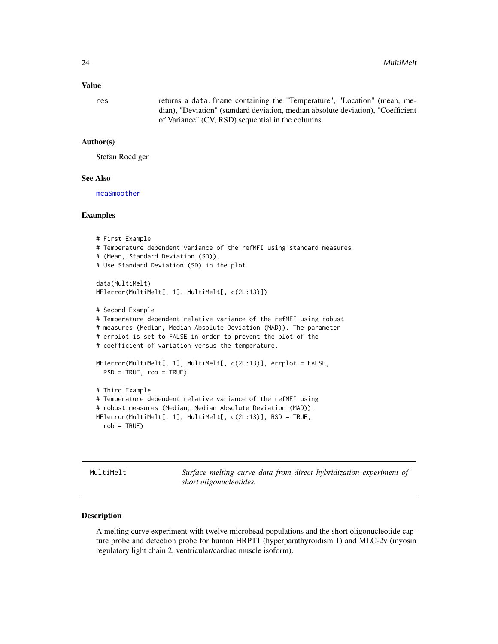#### <span id="page-23-0"></span>Value

res returns a data.frame containing the "Temperature", "Location" (mean, median), "Deviation" (standard deviation, median absolute deviation), "Coefficient of Variance" (CV, RSD) sequential in the columns.

#### Author(s)

Stefan Roediger

#### See Also

[mcaSmoother](#page-17-1)

#### Examples

```
# First Example
# Temperature dependent variance of the refMFI using standard measures
# (Mean, Standard Deviation (SD)).
# Use Standard Deviation (SD) in the plot
data(MultiMelt)
MFIerror(MultiMelt[, 1], MultiMelt[, c(2L:13)])
# Second Example
# Temperature dependent relative variance of the refMFI using robust
# measures (Median, Median Absolute Deviation (MAD)). The parameter
# errplot is set to FALSE in order to prevent the plot of the
# coefficient of variation versus the temperature.
MFIerror(MultiMelt[, 1], MultiMelt[, c(2L:13)], errplot = FALSE,
  RSD = TRUE, rob = TRUE# Third Example
# Temperature dependent relative variance of the refMFI using
# robust measures (Median, Median Absolute Deviation (MAD)).
MFIerror(MultiMelt[, 1], MultiMelt[, c(2L:13)], RSD = TRUE,
  rob = TRUE)
```
<span id="page-23-1"></span>MultiMelt *Surface melting curve data from direct hybridization experiment of short oligonucleotides.*

#### Description

A melting curve experiment with twelve microbead populations and the short oligonucleotide capture probe and detection probe for human HRPT1 (hyperparathyroidism 1) and MLC-2v (myosin regulatory light chain 2, ventricular/cardiac muscle isoform).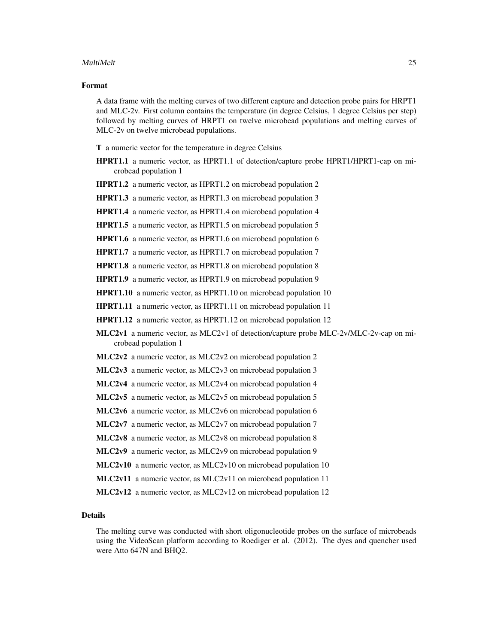#### MultiMelt 25

#### Format

A data frame with the melting curves of two different capture and detection probe pairs for HRPT1 and MLC-2v. First column contains the temperature (in degree Celsius, 1 degree Celsius per step) followed by melting curves of HRPT1 on twelve microbead populations and melting curves of MLC-2v on twelve microbead populations.

T a numeric vector for the temperature in degree Celsius

- HPRT1.1 a numeric vector, as HPRT1.1 of detection/capture probe HPRT1/HPRT1-cap on microbead population 1
- HPRT1.2 a numeric vector, as HPRT1.2 on microbead population 2

HPRT1.3 a numeric vector, as HPRT1.3 on microbead population 3

HPRT1.4 a numeric vector, as HPRT1.4 on microbead population 4

HPRT1.5 a numeric vector, as HPRT1.5 on microbead population 5

HPRT1.6 a numeric vector, as HPRT1.6 on microbead population 6

HPRT1.7 a numeric vector, as HPRT1.7 on microbead population 7

HPRT1.8 a numeric vector, as HPRT1.8 on microbead population 8

HPRT1.9 a numeric vector, as HPRT1.9 on microbead population 9

HPRT1.10 a numeric vector, as HPRT1.10 on microbead population 10

HPRT1.11 a numeric vector, as HPRT1.11 on microbead population 11

HPRT1.12 a numeric vector, as HPRT1.12 on microbead population 12

MLC2v1 a numeric vector, as MLC2v1 of detection/capture probe MLC-2v/MLC-2v-cap on microbead population 1

MLC2v2 a numeric vector, as MLC2v2 on microbead population 2

MLC2v3 a numeric vector, as MLC2v3 on microbead population 3

MLC2v4 a numeric vector, as MLC2v4 on microbead population 4

MLC2v5 a numeric vector, as MLC2v5 on microbead population 5

MLC2v6 a numeric vector, as MLC2v6 on microbead population 6

MLC2v7 a numeric vector, as MLC2v7 on microbead population 7

MLC2v8 a numeric vector, as MLC2v8 on microbead population 8

MLC2v9 a numeric vector, as MLC2v9 on microbead population 9

MLC2v10 a numeric vector, as MLC2v10 on microbead population 10

MLC2v11 a numeric vector, as MLC2v11 on microbead population 11

MLC2v12 a numeric vector, as MLC2v12 on microbead population 12

#### Details

The melting curve was conducted with short oligonucleotide probes on the surface of microbeads using the VideoScan platform according to Roediger et al. (2012). The dyes and quencher used were Atto 647N and BHQ2.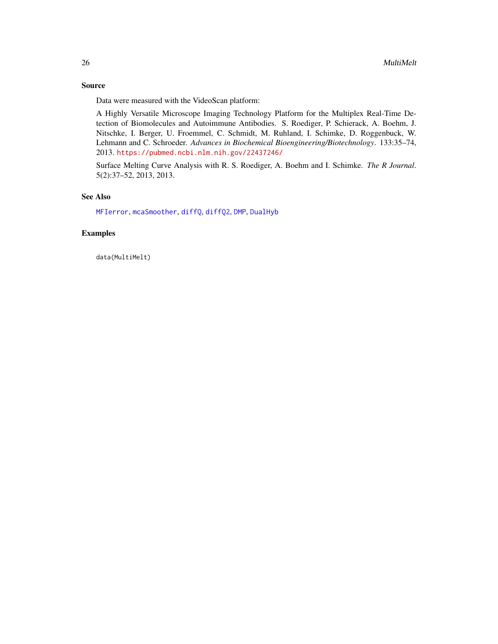#### <span id="page-25-0"></span>Source

Data were measured with the VideoScan platform:

A Highly Versatile Microscope Imaging Technology Platform for the Multiplex Real-Time Detection of Biomolecules and Autoimmune Antibodies. S. Roediger, P. Schierack, A. Boehm, J. Nitschke, I. Berger, U. Froemmel, C. Schmidt, M. Ruhland, I. Schimke, D. Roggenbuck, W. Lehmann and C. Schroeder. *Advances in Biochemical Bioengineering/Biotechnology*. 133:35–74, 2013. <https://pubmed.ncbi.nlm.nih.gov/22437246/>

Surface Melting Curve Analysis with R. S. Roediger, A. Boehm and I. Schimke. *The R Journal*. 5(2):37–52, 2013, 2013.

#### See Also

[MFIerror](#page-22-1), [mcaSmoother](#page-17-1), [diffQ](#page-2-1), [diffQ2](#page-7-1), [DMP](#page-13-1), [DualHyb](#page-14-1)

#### Examples

data(MultiMelt)